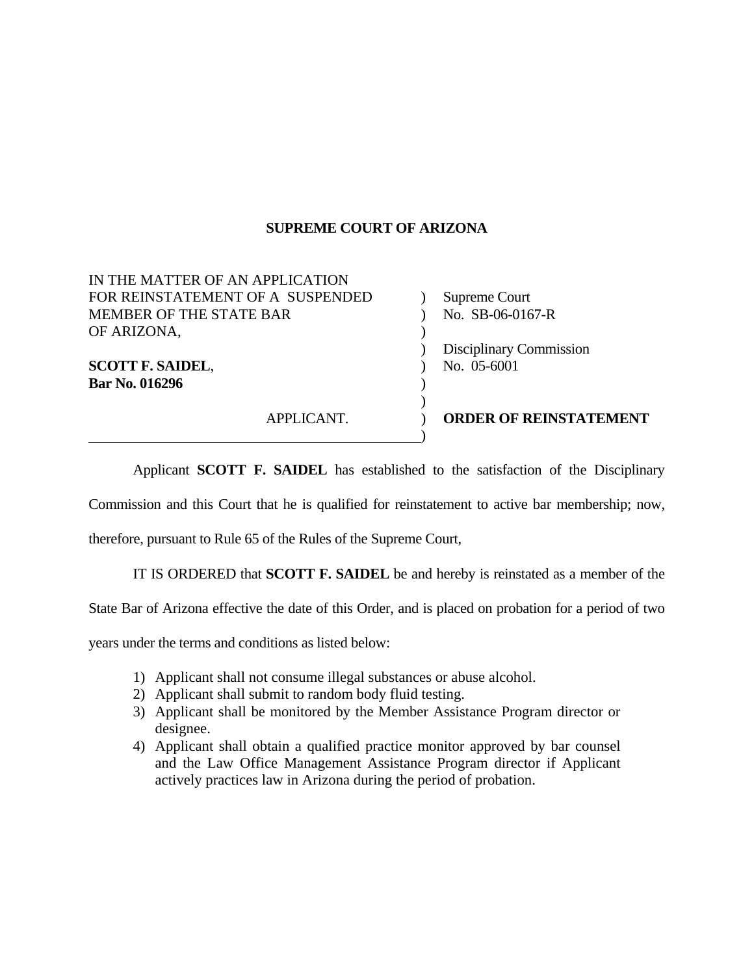## **SUPREME COURT OF ARIZONA**

| <b>MEMBER OF THE STATE BAR</b><br>OF ARIZONA, | No. SB-06-0167-R              |
|-----------------------------------------------|-------------------------------|
|                                               | Disciplinary Commission       |
| <b>SCOTT F. SAIDEL,</b>                       | No. 05-6001                   |
| Bar No. 016296                                |                               |
| APPLICANT.                                    | <b>ORDER OF REINSTATEMENT</b> |
|                                               |                               |

Applicant **SCOTT F. SAIDEL** has established to the satisfaction of the Disciplinary

Commission and this Court that he is qualified for reinstatement to active bar membership; now,

therefore, pursuant to Rule 65 of the Rules of the Supreme Court,

IT IS ORDERED that **SCOTT F. SAIDEL** be and hereby is reinstated as a member of the

State Bar of Arizona effective the date of this Order, and is placed on probation for a period of two

years under the terms and conditions as listed below:

- 1) Applicant shall not consume illegal substances or abuse alcohol.
- 2) Applicant shall submit to random body fluid testing.
- 3) Applicant shall be monitored by the Member Assistance Program director or designee.
- 4) Applicant shall obtain a qualified practice monitor approved by bar counsel and the Law Office Management Assistance Program director if Applicant actively practices law in Arizona during the period of probation.